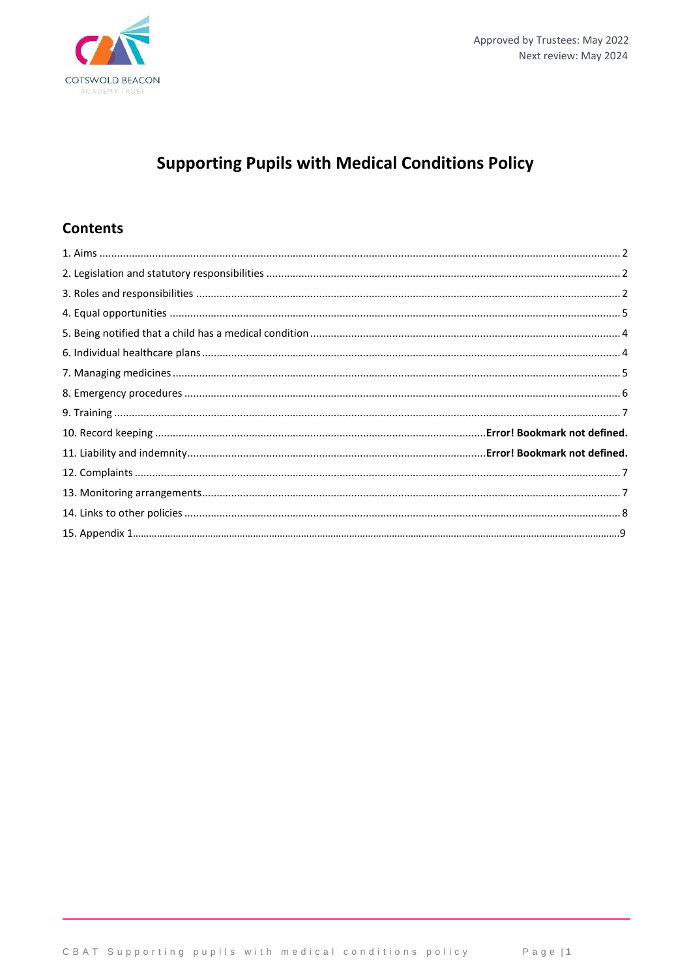

# **Supporting Pupils with Medical Conditions Policy**

# **Contents**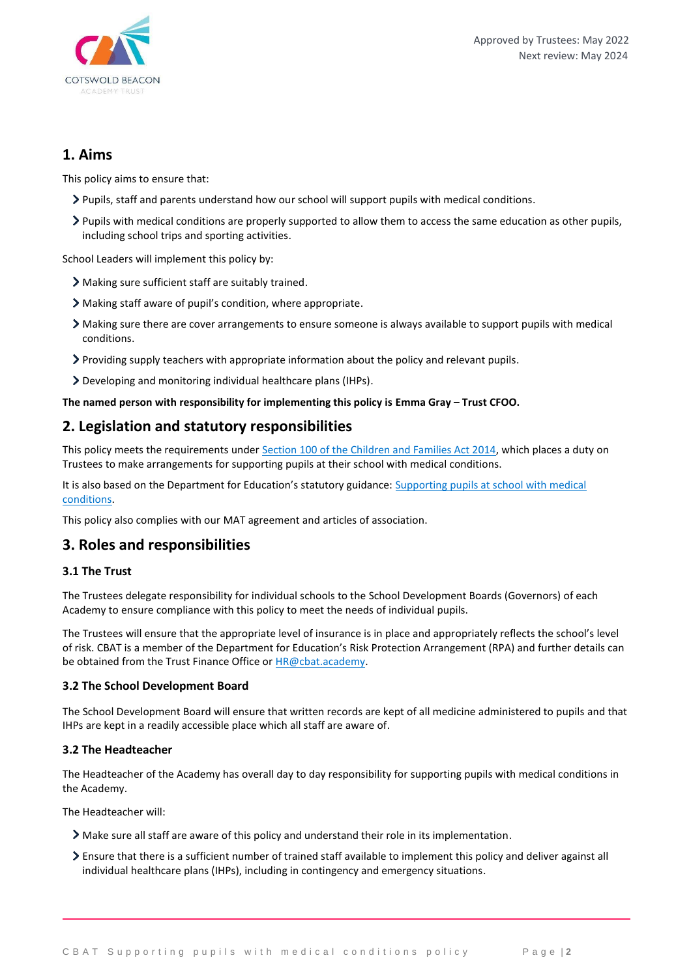

### **1. Aims**

This policy aims to ensure that:

- Pupils, staff and parents understand how our school will support pupils with medical conditions.
- Pupils with medical conditions are properly supported to allow them to access the same education as other pupils, including school trips and sporting activities.

School Leaders will implement this policy by:

- Making sure sufficient staff are suitably trained.
- Making staff aware of pupil's condition, where appropriate.
- Making sure there are cover arrangements to ensure someone is always available to support pupils with medical conditions.
- Providing supply teachers with appropriate information about the policy and relevant pupils.
- Developing and monitoring individual healthcare plans (IHPs).

### **The named person with responsibility for implementing this policy is Emma Gray – Trust CFOO.**

### **2. Legislation and statutory responsibilities**

This policy meets the requirements under [Section 100 of the Children and Families Act 2014,](http://www.legislation.gov.uk/ukpga/2014/6/part/5/crossheading/pupils-with-medical-conditions) which places a duty on Trustees to make arrangements for supporting pupils at their school with medical conditions.

It is also based on the Department for Education's statutory guidance: Supporting pupils at school with medical [conditions.](https://www.gov.uk/government/uploads/system/uploads/attachment_data/file/484418/supporting-pupils-at-school-with-medical-conditions.pdf)

This policy also complies with our MAT agreement and articles of association.

### **3. Roles and responsibilities**

### **3.1 The Trust**

The Trustees delegate responsibility for individual schools to the School Development Boards (Governors) of each Academy to ensure compliance with this policy to meet the needs of individual pupils.

The Trustees will ensure that the appropriate level of insurance is in place and appropriately reflects the school's level of risk. CBAT is a member of the Department for Education's Risk Protection Arrangement (RPA) and further details can be obtained from the Trust Finance Office or [HR@cbat.academy.](mailto:HR@cbat.academy)

### **3.2 The School Development Board**

The School Development Board will ensure that written records are kept of all medicine administered to pupils and that IHPs are kept in a readily accessible place which all staff are aware of.

### **3.2 The Headteacher**

The Headteacher of the Academy has overall day to day responsibility for supporting pupils with medical conditions in the Academy.

The Headteacher will:

- Make sure all staff are aware of this policy and understand their role in its implementation.
- Ensure that there is a sufficient number of trained staff available to implement this policy and deliver against all individual healthcare plans (IHPs), including in contingency and emergency situations.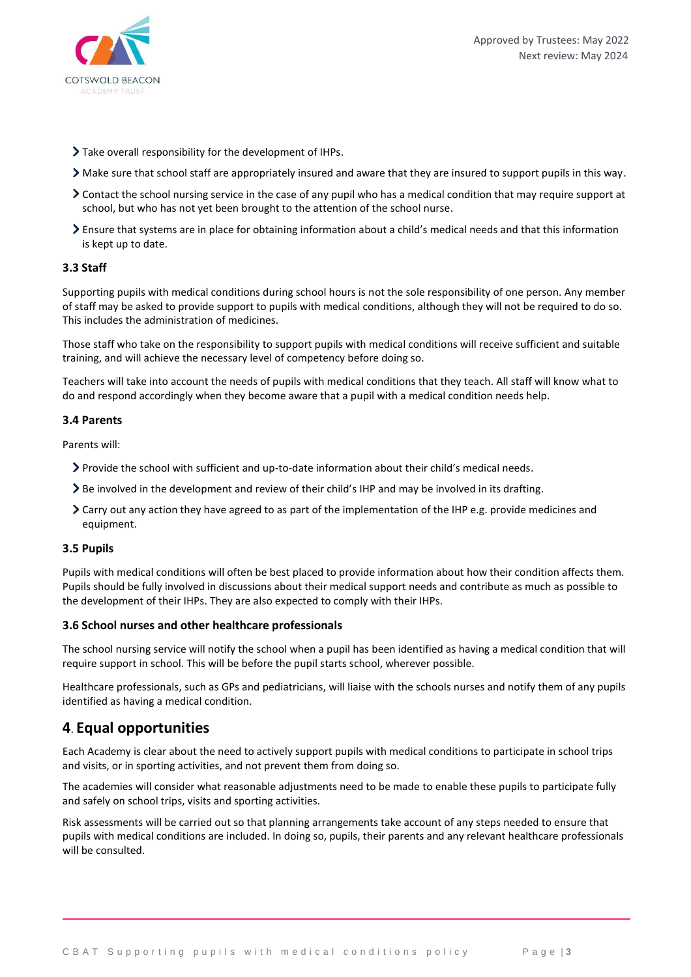

- Take overall responsibility for the development of IHPs.
- Make sure that school staff are appropriately insured and aware that they are insured to support pupils in this way.
- Contact the school nursing service in the case of any pupil who has a medical condition that may require support at school, but who has not yet been brought to the attention of the school nurse.
- Ensure that systems are in place for obtaining information about a child's medical needs and that this information is kept up to date.

#### **3.3 Staff**

Supporting pupils with medical conditions during school hours is not the sole responsibility of one person. Any member of staff may be asked to provide support to pupils with medical conditions, although they will not be required to do so. This includes the administration of medicines.

Those staff who take on the responsibility to support pupils with medical conditions will receive sufficient and suitable training, and will achieve the necessary level of competency before doing so.

Teachers will take into account the needs of pupils with medical conditions that they teach. All staff will know what to do and respond accordingly when they become aware that a pupil with a medical condition needs help.

#### **3.4 Parents**

Parents will:

- Provide the school with sufficient and up-to-date information about their child's medical needs.
- Be involved in the development and review of their child's IHP and may be involved in its drafting.
- Carry out any action they have agreed to as part of the implementation of the IHP e.g. provide medicines and equipment.

#### **3.5 Pupils**

Pupils with medical conditions will often be best placed to provide information about how their condition affects them. Pupils should be fully involved in discussions about their medical support needs and contribute as much as possible to the development of their IHPs. They are also expected to comply with their IHPs.

#### **3.6 School nurses and other healthcare professionals**

The school nursing service will notify the school when a pupil has been identified as having a medical condition that will require support in school. This will be before the pupil starts school, wherever possible.

Healthcare professionals, such as GPs and pediatricians, will liaise with the schools nurses and notify them of any pupils identified as having a medical condition.

### **4**. **Equal opportunities**

Each Academy is clear about the need to actively support pupils with medical conditions to participate in school trips and visits, or in sporting activities, and not prevent them from doing so.

The academies will consider what reasonable adjustments need to be made to enable these pupils to participate fully and safely on school trips, visits and sporting activities.

Risk assessments will be carried out so that planning arrangements take account of any steps needed to ensure that pupils with medical conditions are included. In doing so, pupils, their parents and any relevant healthcare professionals will be consulted.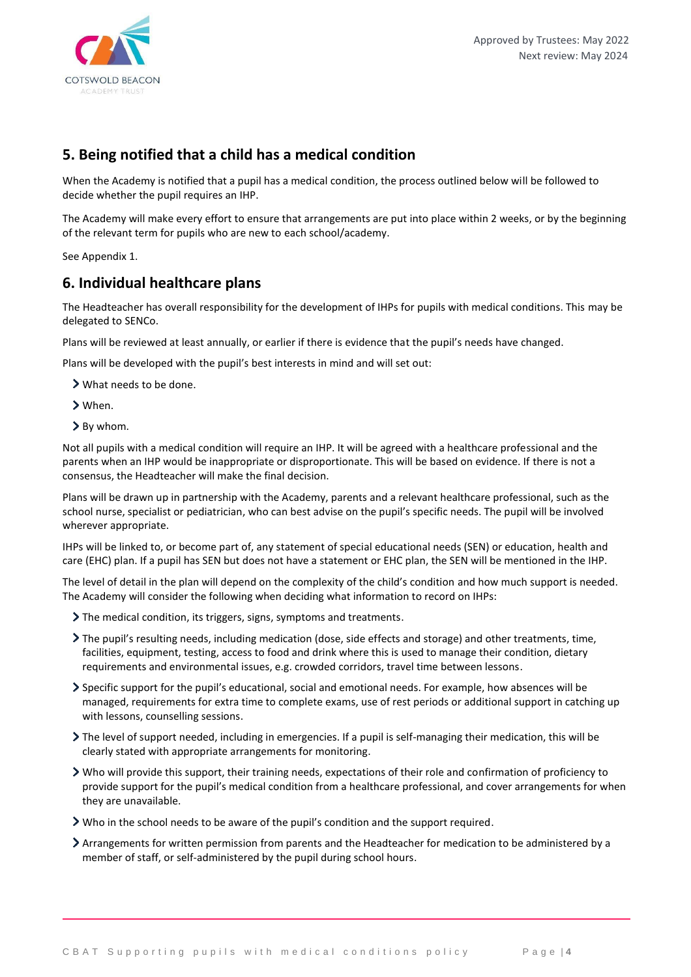

# **5. Being notified that a child has a medical condition**

When the Academy is notified that a pupil has a medical condition, the process outlined below will be followed to decide whether the pupil requires an IHP.

The Academy will make every effort to ensure that arrangements are put into place within 2 weeks, or by the beginning of the relevant term for pupils who are new to each school/academy.

See Appendix 1.

# **6. Individual healthcare plans**

The Headteacher has overall responsibility for the development of IHPs for pupils with medical conditions. This may be delegated to SENCo.

Plans will be reviewed at least annually, or earlier if there is evidence that the pupil's needs have changed.

Plans will be developed with the pupil's best interests in mind and will set out:

What needs to be done.

- When.
- > By whom.

Not all pupils with a medical condition will require an IHP. It will be agreed with a healthcare professional and the parents when an IHP would be inappropriate or disproportionate. This will be based on evidence. If there is not a consensus, the Headteacher will make the final decision.

Plans will be drawn up in partnership with the Academy, parents and a relevant healthcare professional, such as the school nurse, specialist or pediatrician, who can best advise on the pupil's specific needs. The pupil will be involved wherever appropriate.

IHPs will be linked to, or become part of, any statement of special educational needs (SEN) or education, health and care (EHC) plan. If a pupil has SEN but does not have a statement or EHC plan, the SEN will be mentioned in the IHP.

The level of detail in the plan will depend on the complexity of the child's condition and how much support is needed. The Academy will consider the following when deciding what information to record on IHPs:

- The medical condition, its triggers, signs, symptoms and treatments.
- The pupil's resulting needs, including medication (dose, side effects and storage) and other treatments, time, facilities, equipment, testing, access to food and drink where this is used to manage their condition, dietary requirements and environmental issues, e.g. crowded corridors, travel time between lessons.
- Specific support for the pupil's educational, social and emotional needs. For example, how absences will be managed, requirements for extra time to complete exams, use of rest periods or additional support in catching up with lessons, counselling sessions.
- The level of support needed, including in emergencies. If a pupil is self-managing their medication, this will be clearly stated with appropriate arrangements for monitoring.
- Who will provide this support, their training needs, expectations of their role and confirmation of proficiency to provide support for the pupil's medical condition from a healthcare professional, and cover arrangements for when they are unavailable.
- Who in the school needs to be aware of the pupil's condition and the support required.
- Arrangements for written permission from parents and the Headteacher for medication to be administered by a member of staff, or self-administered by the pupil during school hours.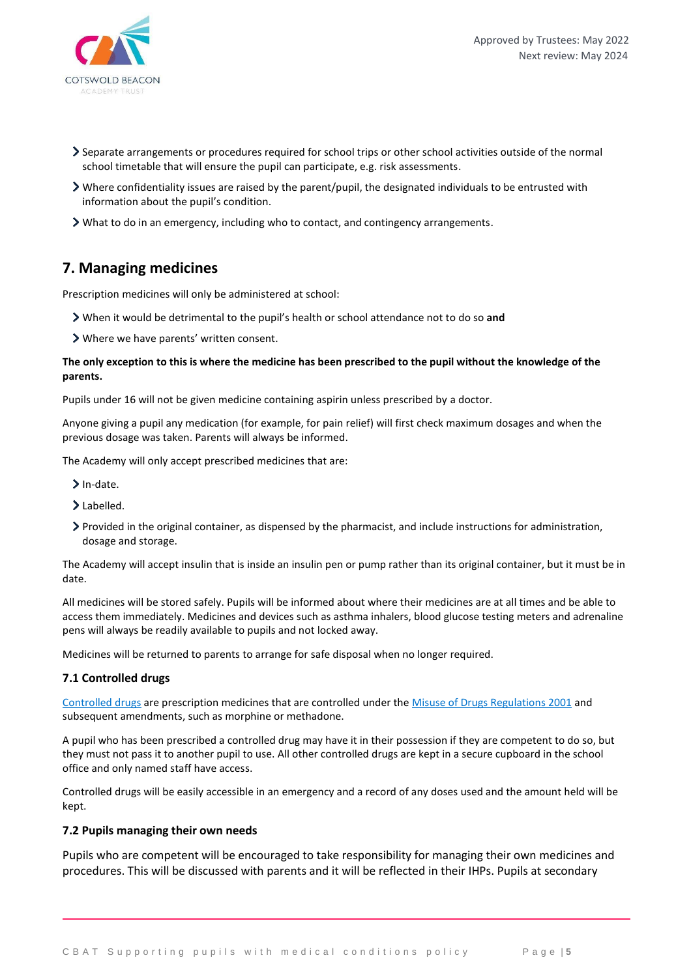

- Separate arrangements or procedures required for school trips or other school activities outside of the normal school timetable that will ensure the pupil can participate, e.g. risk assessments.
- Where confidentiality issues are raised by the parent/pupil, the designated individuals to be entrusted with information about the pupil's condition.
- What to do in an emergency, including who to contact, and contingency arrangements.

### **7. Managing medicines**

Prescription medicines will only be administered at school:

- When it would be detrimental to the pupil's health or school attendance not to do so **and**
- Where we have parents' written consent.

#### **The only exception to this is where the medicine has been prescribed to the pupil without the knowledge of the parents.**

Pupils under 16 will not be given medicine containing aspirin unless prescribed by a doctor.

Anyone giving a pupil any medication (for example, for pain relief) will first check maximum dosages and when the previous dosage was taken. Parents will always be informed.

The Academy will only accept prescribed medicines that are:

- $\sum$  In-date.
- > Labelled.
- Provided in the original container, as dispensed by the pharmacist, and include instructions for administration, dosage and storage.

The Academy will accept insulin that is inside an insulin pen or pump rather than its original container, but it must be in date.

All medicines will be stored safely. Pupils will be informed about where their medicines are at all times and be able to access them immediately. Medicines and devices such as asthma inhalers, blood glucose testing meters and adrenaline pens will always be readily available to pupils and not locked away.

Medicines will be returned to parents to arrange for safe disposal when no longer required.

#### **7.1 Controlled drugs**

[Controlled drugs](http://www.nhs.uk/chq/Pages/1391.aspx?CategoryID=73) are prescription medicines that are controlled under the [Misuse of Drugs Regulations 2001](http://www.legislation.gov.uk/uksi/2001/3998/schedule/1/made) and subsequent amendments, such as morphine or methadone.

A pupil who has been prescribed a controlled drug may have it in their possession if they are competent to do so, but they must not pass it to another pupil to use. All other controlled drugs are kept in a secure cupboard in the school office and only named staff have access.

Controlled drugs will be easily accessible in an emergency and a record of any doses used and the amount held will be kept.

### **7.2 Pupils managing their own needs**

Pupils who are competent will be encouraged to take responsibility for managing their own medicines and procedures. This will be discussed with parents and it will be reflected in their IHPs. Pupils at secondary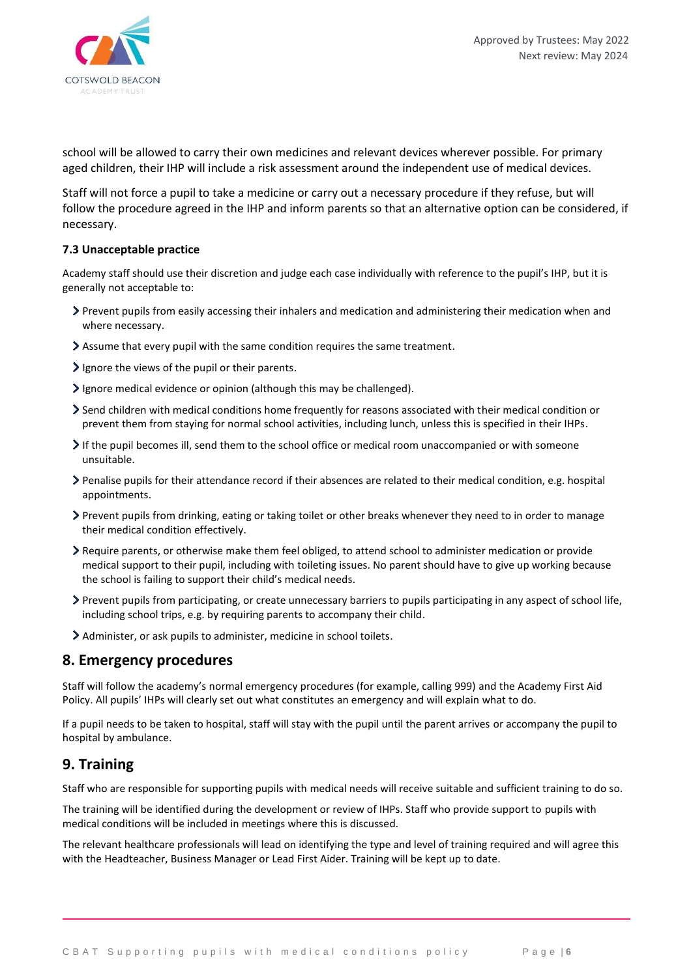

school will be allowed to carry their own medicines and relevant devices wherever possible. For primary aged children, their IHP will include a risk assessment around the independent use of medical devices.

Staff will not force a pupil to take a medicine or carry out a necessary procedure if they refuse, but will follow the procedure agreed in the IHP and inform parents so that an alternative option can be considered, if necessary.

### **7.3 Unacceptable practice**

Academy staff should use their discretion and judge each case individually with reference to the pupil's IHP, but it is generally not acceptable to:

- Prevent pupils from easily accessing their inhalers and medication and administering their medication when and where necessary.
- Assume that every pupil with the same condition requires the same treatment.
- $\sum$  Ignore the views of the pupil or their parents.
- Ignore medical evidence or opinion (although this may be challenged).
- Send children with medical conditions home frequently for reasons associated with their medical condition or prevent them from staying for normal school activities, including lunch, unless this is specified in their IHPs.
- If the pupil becomes ill, send them to the school office or medical room unaccompanied or with someone unsuitable.
- Penalise pupils for their attendance record if their absences are related to their medical condition, e.g. hospital appointments.
- Prevent pupils from drinking, eating or taking toilet or other breaks whenever they need to in order to manage their medical condition effectively.
- Require parents, or otherwise make them feel obliged, to attend school to administer medication or provide medical support to their pupil, including with toileting issues. No parent should have to give up working because the school is failing to support their child's medical needs.
- Prevent pupils from participating, or create unnecessary barriers to pupils participating in any aspect of school life, including school trips, e.g. by requiring parents to accompany their child.
- Administer, or ask pupils to administer, medicine in school toilets.

### **8. Emergency procedures**

Staff will follow the academy's normal emergency procedures (for example, calling 999) and the Academy First Aid Policy. All pupils' IHPs will clearly set out what constitutes an emergency and will explain what to do.

If a pupil needs to be taken to hospital, staff will stay with the pupil until the parent arrives or accompany the pupil to hospital by ambulance.

# **9. Training**

Staff who are responsible for supporting pupils with medical needs will receive suitable and sufficient training to do so.

The training will be identified during the development or review of IHPs. Staff who provide support to pupils with medical conditions will be included in meetings where this is discussed.

The relevant healthcare professionals will lead on identifying the type and level of training required and will agree this with the Headteacher, Business Manager or Lead First Aider. Training will be kept up to date.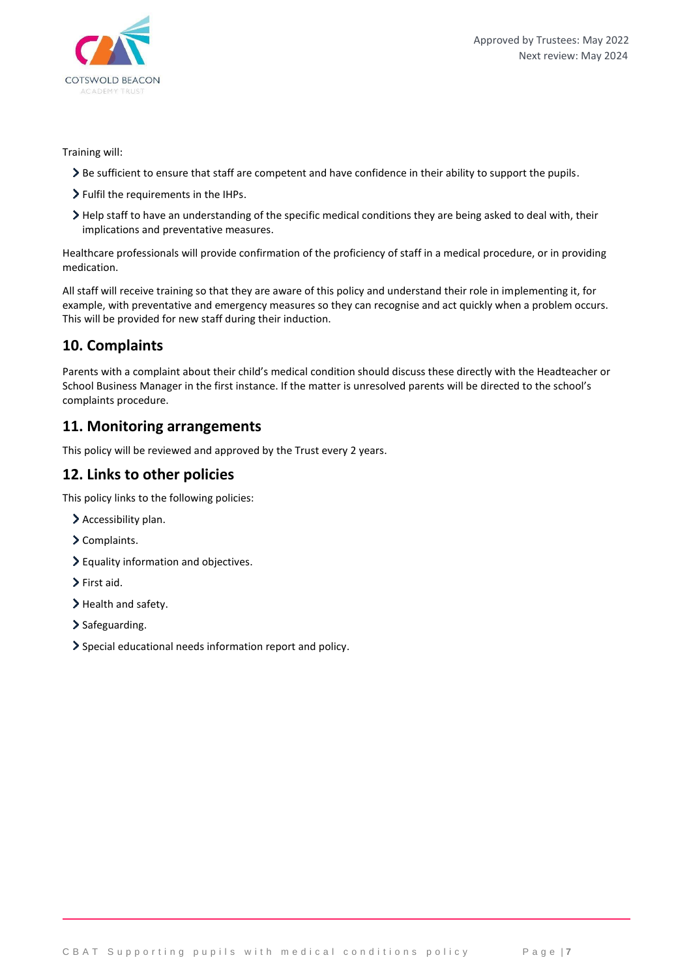

### Training will:

- Be sufficient to ensure that staff are competent and have confidence in their ability to support the pupils.
- > Fulfil the requirements in the IHPs.
- Help staff to have an understanding of the specific medical conditions they are being asked to deal with, their implications and preventative measures.

Healthcare professionals will provide confirmation of the proficiency of staff in a medical procedure, or in providing medication.

All staff will receive training so that they are aware of this policy and understand their role in implementing it, for example, with preventative and emergency measures so they can recognise and act quickly when a problem occurs. This will be provided for new staff during their induction.

# **10. Complaints**

Parents with a complaint about their child's medical condition should discuss these directly with the Headteacher or School Business Manager in the first instance. If the matter is unresolved parents will be directed to the school's complaints procedure.

### **11. Monitoring arrangements**

This policy will be reviewed and approved by the Trust every 2 years.

# **12. Links to other policies**

This policy links to the following policies:

- > Accessibility plan.
- > Complaints.
- Equality information and objectives.
- > First aid.
- > Health and safety.
- > Safeguarding.
- Special educational needs information report and policy.